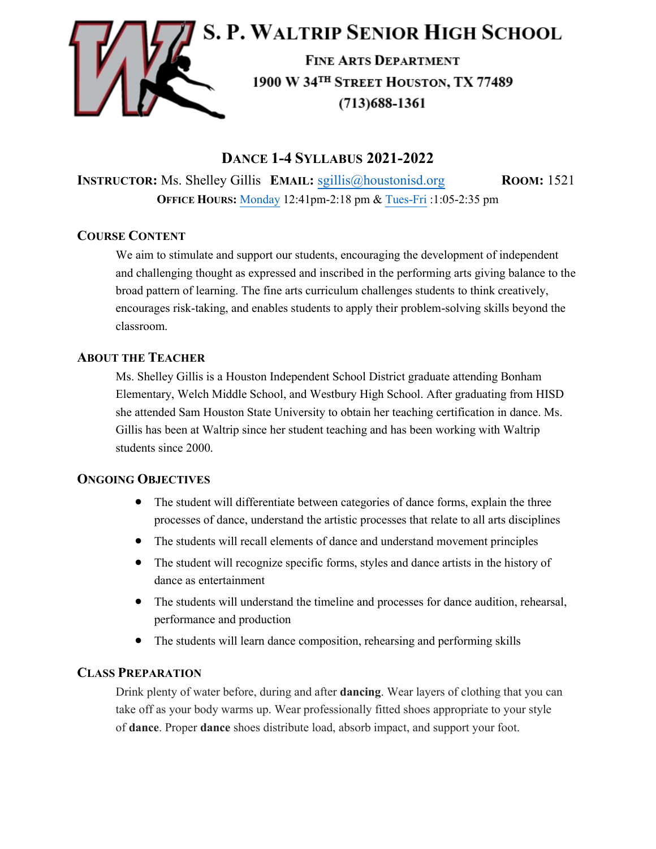

# **DANCE 1-4 SYLLABUS 2021-2022**

**INSTRUCTOR:** Ms. Shelley Gillis **EMAIL:** [sgillis@houstonisd.org](mailto:sgillis@houstonisd.org) **ROOM:** 1521 **OFFICE HOURS:** [Monday](https://teams.microsoft.com/l/meetup-join/19%3ameeting_ZDVhMDQ3ZjctMGYyYi00NjM1LWJmM2YtN2Y4NTBhOWJjODcz%40thread.v2/0?context=%7b%22Tid%22%3a%22f5eb9966-9336-4b33-8895-9982425b13ed%22%2c%22Oid%22%3a%22c9ea2c5a-38ad-49fc-ab92-b819c49a9e99%22%7d) 12:41pm-2:18 pm & [Tues-Fri](https://teams.microsoft.com/l/meetup-join/19%3ameeting_YmY5MWI0ZWItZDc4Yi00NjMwLWI0YjktZDQ3MmQ1NTFiNGEw%40thread.v2/0?context=%7b%22Tid%22%3a%22f5eb9966-9336-4b33-8895-9982425b13ed%22%2c%22Oid%22%3a%22c9ea2c5a-38ad-49fc-ab92-b819c49a9e99%22%7d) :1:05-2:35 pm

## **COURSE CONTENT**

We aim to stimulate and support our students, encouraging the development of independent and challenging thought as expressed and inscribed in the performing arts giving balance to the broad pattern of learning. The fine arts curriculum challenges students to think creatively, encourages risk-taking, and enables students to apply their problem-solving skills beyond the classroom.

## **ABOUT THE TEACHER**

Ms. Shelley Gillis is a Houston Independent School District graduate attending Bonham Elementary, Welch Middle School, and Westbury High School. After graduating from HISD she attended Sam Houston State University to obtain her teaching certification in dance. Ms. Gillis has been at Waltrip since her student teaching and has been working with Waltrip students since 2000.

## **ONGOING OBJECTIVES**

- The student will differentiate between categories of dance forms, explain the three processes of dance, understand the artistic processes that relate to all arts disciplines
- The students will recall elements of dance and understand movement principles
- The student will recognize specific forms, styles and dance artists in the history of dance as entertainment
- The students will understand the timeline and processes for dance audition, rehearsal, performance and production
- The students will learn dance composition, rehearsing and performing skills

## **CLASS PREPARATION**

Drink plenty of water before, during and after **dancing**. Wear layers of clothing that you can take off as your body warms up. Wear professionally fitted shoes appropriate to your style of **dance**. Proper **dance** shoes distribute load, absorb impact, and support your foot.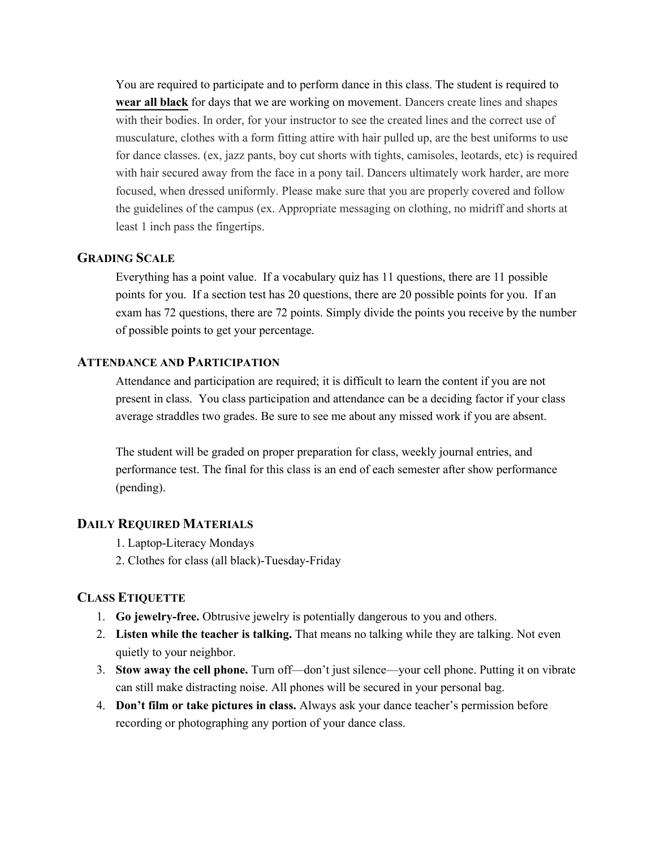You are required to participate and to perform dance in this class. The student is required to **wear all black** for days that we are working on movement. Dancers create lines and shapes with their bodies. In order, for your instructor to see the created lines and the correct use of musculature, clothes with a form fitting attire with hair pulled up, are the best uniforms to use for dance classes. (ex, jazz pants, boy cut shorts with tights, camisoles, leotards, etc) is required with hair secured away from the face in a pony tail. Dancers ultimately work harder, are more focused, when dressed uniformly. Please make sure that you are properly covered and follow the guidelines of the campus (ex. Appropriate messaging on clothing, no midriff and shorts at least 1 inch pass the fingertips.

#### **GRADING SCALE**

Everything has a point value. If a vocabulary quiz has 11 questions, there are 11 possible points for you. If a section test has 20 questions, there are 20 possible points for you. If an exam has 72 questions, there are 72 points. Simply divide the points you receive by the number of possible points to get your percentage.

## **ATTENDANCE AND PARTICIPATION**

Attendance and participation are required; it is difficult to learn the content if you are not present in class. You class participation and attendance can be a deciding factor if your class average straddles two grades. Be sure to see me about any missed work if you are absent.

The student will be graded on proper preparation for class, weekly journal entries, and performance test. The final for this class is an end of each semester after show performance (pending).

## **DAILY REQUIRED MATERIALS**

- 1. Laptop-Literacy Mondays
- 2. Clothes for class (all black)-Tuesday-Friday

#### **CLASS ETIQUETTE**

- 1. **Go jewelry-free.** Obtrusive jewelry is potentially dangerous to you and others.
- 2. **Listen while the teacher is talking.** That means no talking while they are talking. Not even quietly to your neighbor.
- 3. **Stow away the cell phone.** Turn off—don't just silence—your cell phone. Putting it on vibrate can still make distracting noise. All phones will be secured in your personal bag.
- 4. **Don't film or take pictures in class.** Always ask your dance teacher's permission before recording or photographing any portion of your dance class.